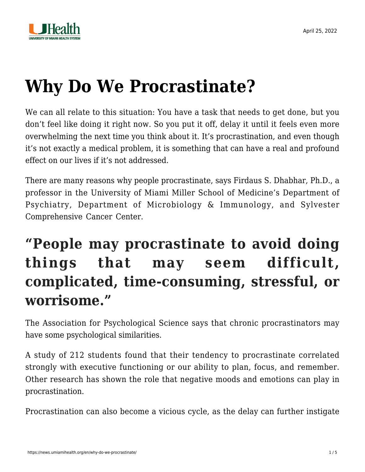



# **[Why Do We Procrastinate?](https://news.umiamihealth.org/en/why-do-we-procrastinate/)**

We can all relate to this situation: You have a task that needs to get done, but you don't feel like doing it right now. So you put it off, delay it until it feels even more overwhelming the next time you think about it. It's procrastination, and even though it's not exactly a medical problem, it is something that can have a real and profound effect on our lives if it's not addressed.

There are many reasons why people procrastinate, says Firdaus S. Dhabhar, Ph.D., a professor in the University of Miami Miller School of Medicine's Department of Psychiatry, Department of Microbiology & Immunology, and Sylvester Comprehensive Cancer Center.

## **"People may procrastinate to avoid doing things that may seem difficult, complicated, time-consuming, stressful, or worrisome."**

The [Association for Psychological Science](https://www.psychologicalscience.org/observer/why-wait-the-science-behind-procrastination) says that chronic procrastinators may have some psychological similarities.

A study of 212 students found that their tendency to procrastinate correlated strongly with executive functioning or our ability to plan, focus, and remember. Other research has shown the role that negative moods and emotions can play in procrastination.

Procrastination can also become a vicious cycle, as the delay can further instigate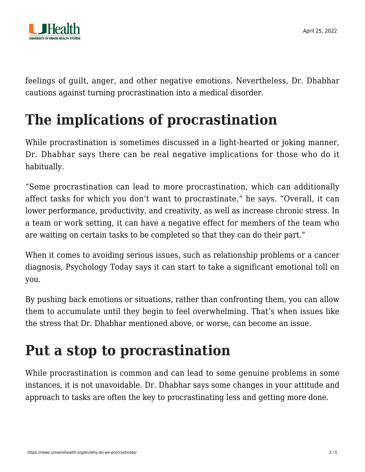

feelings of guilt, anger, and other negative emotions. Nevertheless, Dr. Dhabhar cautions against turning procrastination into a medical disorder.

# **The implications of procrastination**

While procrastination is sometimes discussed in a light-hearted or joking manner, Dr. Dhabhar says there can be real negative implications for those who do it habitually.

"Some procrastination can lead to more procrastination, which can additionally affect tasks for which you don't want to procrastinate," he says. "Overall, it can lower performance, productivity, and creativity, as well as increase chronic stress. In a team or work setting, it can have a negative effect for members of the team who are waiting on certain tasks to be completed so that they can do their part."

When it comes to avoiding serious issues, such as relationship problems or a cancer diagnosis, [Psychology Today](https://www.psychologytoday.com/us/blog/navigating-cancer/202203/how-avoid-avoiding) says it can start to take a significant emotional toll on you.

By pushing back emotions or situations, rather than confronting them, you can allow them to accumulate until they begin to feel overwhelming. That's when issues like the stress that Dr. Dhabhar mentioned above, or worse, can become an issue.

# **Put a stop to procrastination**

While procrastination is common and can lead to some genuine problems in some instances, it is not unavoidable. Dr. Dhabhar says some changes in your attitude and approach to tasks are often the key to procrastinating less and getting more done.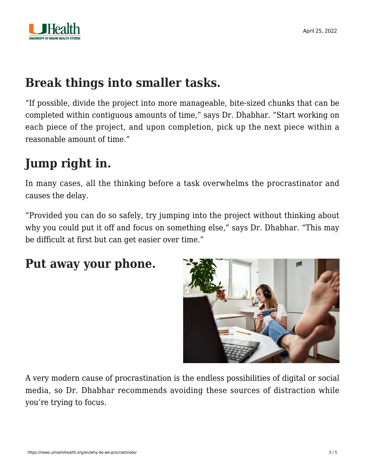

### **Break things into smaller tasks.**

"If possible, divide the project into more manageable, bite-sized chunks that can be completed within contiguous amounts of time," says Dr. Dhabhar. "Start working on each piece of the project, and upon completion, pick up the next piece within a reasonable amount of time."

### **Jump right in.**

In many cases, all the thinking before a task overwhelms the procrastinator and causes the delay.

"Provided you can do so safely, try jumping into the project without thinking about why you could put it off and focus on something else," says Dr. Dhabhar. "This may be difficult at first but can get easier over time."

#### **Put away your phone.**



A very modern cause of procrastination is the endless possibilities of digital or social media, so Dr. Dhabhar recommends avoiding these sources of distraction while you're trying to focus.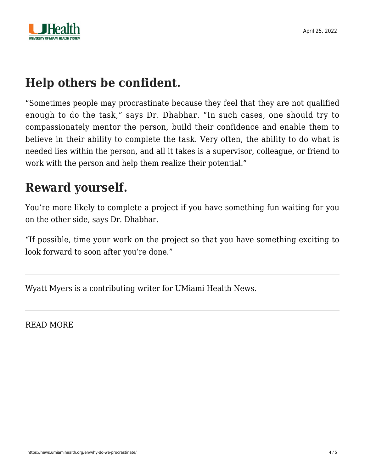

### **Help others be confident.**

"Sometimes people may procrastinate because they feel that they are not qualified enough to do the task," says Dr. Dhabhar. "In such cases, one should try to compassionately mentor the person, build their confidence and enable them to believe in their ability to complete the task. Very often, the ability to do what is needed lies within the person, and all it takes is a supervisor, colleague, or friend to work with the person and help them realize their potential."

### **Reward yourself.**

You're more likely to complete a project if you have something fun waiting for you on the other side, says Dr. Dhabhar.

"If possible, time your work on the project so that you have something exciting to look forward to soon after you're done."

Wyatt Myers is a contributing writer for UMiami Health News.

READ MORE